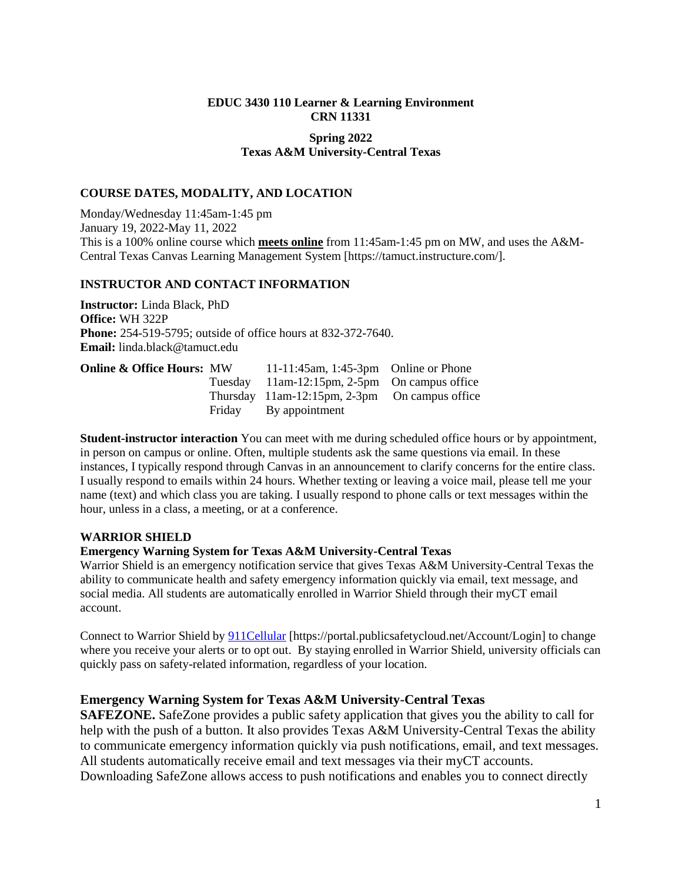# **EDUC 3430 110 Learner & Learning Environment CRN 11331**

# **Spring 2022 Texas A&M University-Central Texas**

# **COURSE DATES, MODALITY, AND LOCATION**

Monday/Wednesday 11:45am-1:45 pm January 19, 2022-May 11, 2022 This is a 100% online course which **meets online** from 11:45am-1:45 pm on MW, and uses the A&M-Central Texas Canvas Learning Management System [https://tamuct.instructure.com/].

# **INSTRUCTOR AND CONTACT INFORMATION**

**Instructor:** Linda Black, PhD **Office:** WH 322P **Phone:** 254-519-5795; outside of office hours at 832-372-7640. **Email:** linda.black@tamuct.edu

| <b>Online &amp; Office Hours: MW</b> | 11-11:45am, 1:45-3pm Online or Phone          |  |
|--------------------------------------|-----------------------------------------------|--|
|                                      | Tuesday 11am-12:15pm, 2-5pm On campus office  |  |
|                                      | Thursday 11am-12:15pm, 2-3pm On campus office |  |
|                                      | Friday By appointment                         |  |

**Student-instructor interaction** You can meet with me during scheduled office hours or by appointment, in person on campus or online. Often, multiple students ask the same questions via email. In these instances, I typically respond through Canvas in an announcement to clarify concerns for the entire class. I usually respond to emails within 24 hours. Whether texting or leaving a voice mail, please tell me your name (text) and which class you are taking. I usually respond to phone calls or text messages within the hour, unless in a class, a meeting, or at a conference.

#### **WARRIOR SHIELD**

# **Emergency Warning System for Texas A&M University-Central Texas**

Warrior Shield is an emergency notification service that gives Texas A&M University-Central Texas the ability to communicate health and safety emergency information quickly via email, text message, and social media. All students are automatically enrolled in Warrior Shield through their myCT email account.

Connect to Warrior Shield by [911Cellular](https://portal.publicsafetycloud.net/Texas-AM-Central/alert-management) [https://portal.publicsafetycloud.net/Account/Login] to change where you receive your alerts or to opt out. By staying enrolled in Warrior Shield, university officials can quickly pass on safety-related information, regardless of your location.

# **Emergency Warning System for Texas A&M University-Central Texas**

**SAFEZONE.** SafeZone provides a public safety application that gives you the ability to call for help with the push of a button. It also provides Texas A&M University-Central Texas the ability to communicate emergency information quickly via push notifications, email, and text messages. All students automatically receive email and text messages via their myCT accounts. Downloading SafeZone allows access to push notifications and enables you to connect directly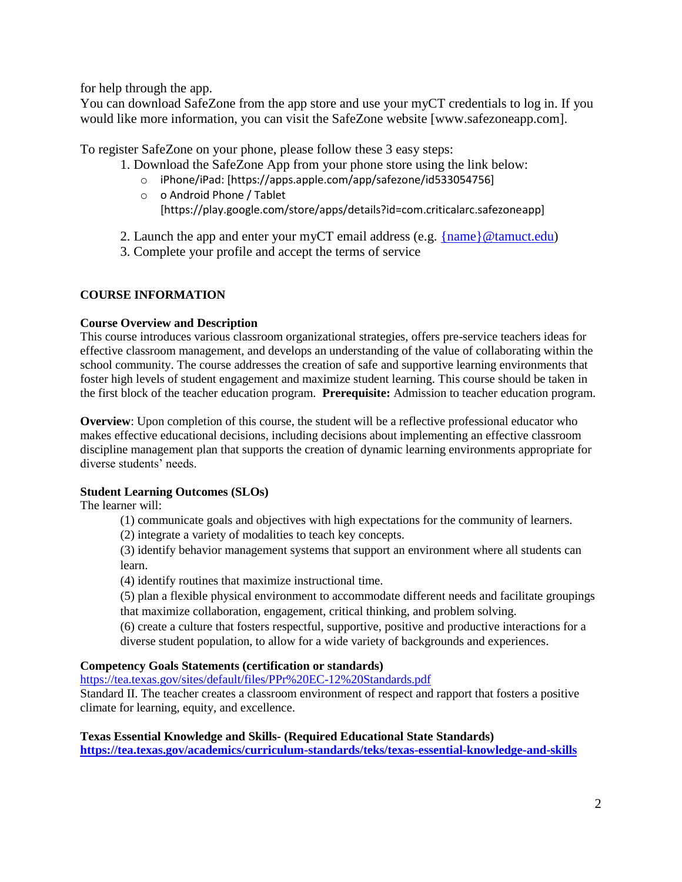for help through the app.

You can download SafeZone from the app store and use your myCT credentials to log in. If you would like more information, you can visit the SafeZone website [www.safezoneapp.com].

To register SafeZone on your phone, please follow these 3 easy steps:

1. Download the SafeZone App from your phone store using the link below:

- o iPhone/iPad: [https://apps.apple.com/app/safezone/id533054756]
- o o Android Phone / Tablet
	- [https://play.google.com/store/apps/details?id=com.criticalarc.safezoneapp]

2. Launch the app and enter your myCT email address (e.g.  ${name}$ )  $@tamuct.edu)$ 

3. Complete your profile and accept the terms of service

# **COURSE INFORMATION**

# **Course Overview and Description**

This course introduces various classroom organizational strategies, offers pre-service teachers ideas for effective classroom management, and develops an understanding of the value of collaborating within the school community. The course addresses the creation of safe and supportive learning environments that foster high levels of student engagement and maximize student learning. This course should be taken in the first block of the teacher education program. **Prerequisite:** Admission to teacher education program.

**Overview**: Upon completion of this course, the student will be a reflective professional educator who makes effective educational decisions, including decisions about implementing an effective classroom discipline management plan that supports the creation of dynamic learning environments appropriate for diverse students' needs.

# **Student Learning Outcomes (SLOs)**

The learner will:

(1) communicate goals and objectives with high expectations for the community of learners.

(2) integrate a variety of modalities to teach key concepts.

(3) identify behavior management systems that support an environment where all students can learn.

(4) identify routines that maximize instructional time.

(5) plan a flexible physical environment to accommodate different needs and facilitate groupings that maximize collaboration, engagement, critical thinking, and problem solving.

(6) create a culture that fosters respectful, supportive, positive and productive interactions for a diverse student population, to allow for a wide variety of backgrounds and experiences.

# **Competency Goals Statements (certification or standards)**

<https://tea.texas.gov/sites/default/files/PPr%20EC-12%20Standards.pdf>

Standard II. The teacher creates a classroom environment of respect and rapport that fosters a positive climate for learning, equity, and excellence.

# **Texas Essential Knowledge and Skills- (Required Educational State Standards)**

**<https://tea.texas.gov/academics/curriculum-standards/teks/texas-essential-knowledge-and-skills>**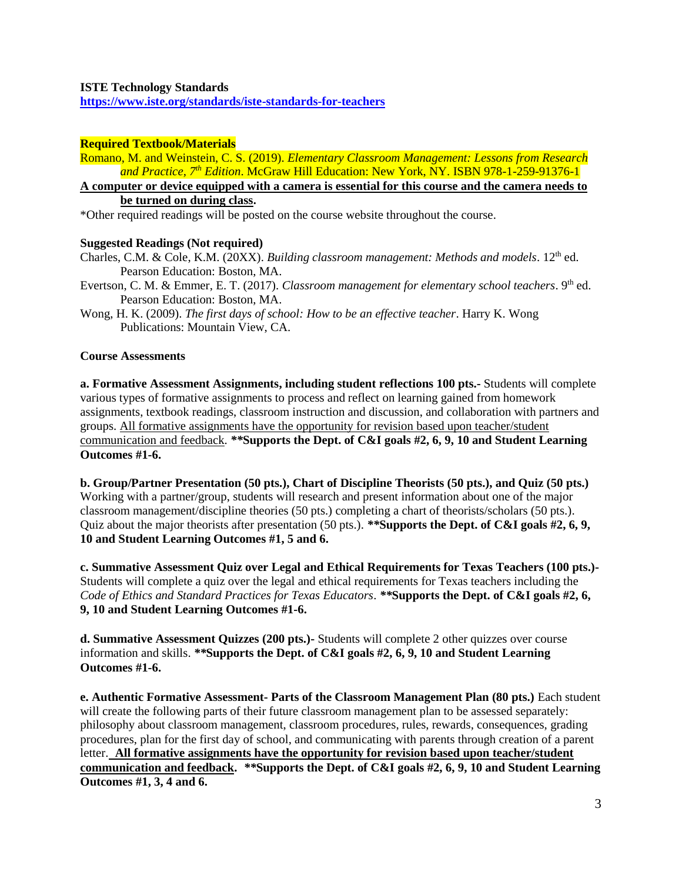**<https://www.iste.org/standards/iste-standards-for-teachers>**

# **Required Textbook/Materials**

Romano, M. and Weinstein, C. S. (2019). *Elementary Classroom Management: Lessons from Research and Practice, 7th Edition*. McGraw Hill Education: New York, NY. ISBN 978-1-259-91376-1

**A computer or device equipped with a camera is essential for this course and the camera needs to be turned on during class.**

\*Other required readings will be posted on the course website throughout the course.

#### **Suggested Readings (Not required)**

Charles, C.M. & Cole, K.M. (20XX). *Building classroom management: Methods and models*. 12<sup>th</sup> ed. Pearson Education: Boston, MA.

Evertson, C. M. & Emmer, E. T. (2017). *Classroom management for elementary school teachers*. 9th ed. Pearson Education: Boston, MA.

Wong, H. K. (2009). *The first days of school: How to be an effective teacher*. Harry K. Wong Publications: Mountain View, CA.

#### **Course Assessments**

**a. Formative Assessment Assignments, including student reflections 100 pts.-** Students will complete various types of formative assignments to process and reflect on learning gained from homework assignments, textbook readings, classroom instruction and discussion, and collaboration with partners and groups. All formative assignments have the opportunity for revision based upon teacher/student communication and feedback. *\*\****Supports the Dept. of C&I goals #2, 6, 9, 10 and Student Learning Outcomes #1-6.**

**b. Group/Partner Presentation (50 pts.), Chart of Discipline Theorists (50 pts.), and Quiz (50 pts.)**  Working with a partner/group, students will research and present information about one of the major classroom management/discipline theories (50 pts.) completing a chart of theorists/scholars (50 pts.). Quiz about the major theorists after presentation (50 pts.). *\*\****Supports the Dept. of C&I goals #2, 6, 9, 10 and Student Learning Outcomes #1, 5 and 6.**

**c. Summative Assessment Quiz over Legal and Ethical Requirements for Texas Teachers (100 pts.)-** Students will complete a quiz over the legal and ethical requirements for Texas teachers including the *Code of Ethics and Standard Practices for Texas Educators*. *\*\****Supports the Dept. of C&I goals #2, 6, 9, 10 and Student Learning Outcomes #1-6.**

**d. Summative Assessment Quizzes (200 pts.)-** Students will complete 2 other quizzes over course information and skills. *\*\****Supports the Dept. of C&I goals #2, 6, 9, 10 and Student Learning Outcomes #1-6.**

**e. Authentic Formative Assessment- Parts of the Classroom Management Plan (80 pts.)** Each student will create the following parts of their future classroom management plan to be assessed separately: philosophy about classroom management, classroom procedures, rules, rewards, consequences, grading procedures, plan for the first day of school, and communicating with parents through creation of a parent letter. **All formative assignments have the opportunity for revision based upon teacher/student communication and feedback.** *\*\****Supports the Dept. of C&I goals #2, 6, 9, 10 and Student Learning Outcomes #1, 3, 4 and 6.**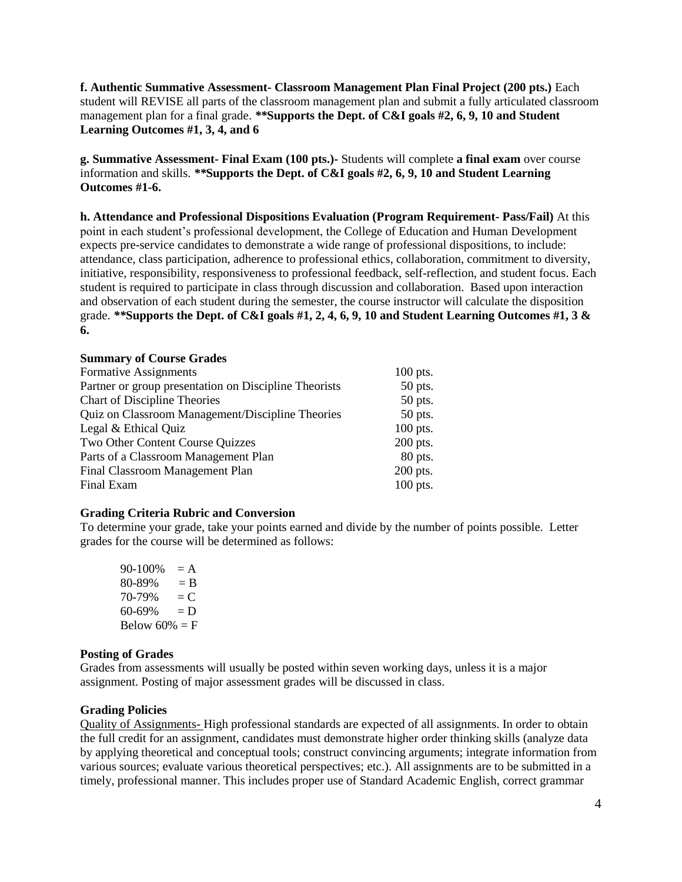**f. Authentic Summative Assessment- Classroom Management Plan Final Project (200 pts.)** Each student will REVISE all parts of the classroom management plan and submit a fully articulated classroom management plan for a final grade. *\*\****Supports the Dept. of C&I goals #2, 6, 9, 10 and Student Learning Outcomes #1, 3, 4, and 6**

**g. Summative Assessment- Final Exam (100 pts.)-** Students will complete **a final exam** over course information and skills. *\*\****Supports the Dept. of C&I goals #2, 6, 9, 10 and Student Learning Outcomes #1-6.**

**h. Attendance and Professional Dispositions Evaluation (Program Requirement- Pass/Fail)** At this point in each student's professional development, the College of Education and Human Development expects pre-service candidates to demonstrate a wide range of professional dispositions, to include: attendance, class participation, adherence to professional ethics, collaboration, commitment to diversity, initiative, responsibility, responsiveness to professional feedback, self-reflection, and student focus. Each student is required to participate in class through discussion and collaboration. Based upon interaction and observation of each student during the semester, the course instructor will calculate the disposition grade. *\*\****Supports the Dept. of C&I goals #1, 2, 4, 6, 9, 10 and Student Learning Outcomes #1, 3 & 6.**

#### **Summary of Course Grades**

| Formative Assignments                                 | $100$ pts. |
|-------------------------------------------------------|------------|
| Partner or group presentation on Discipline Theorists | 50 pts.    |
| <b>Chart of Discipline Theories</b>                   | 50 pts.    |
| Quiz on Classroom Management/Discipline Theories      | 50 pts.    |
| Legal & Ethical Quiz                                  | $100$ pts. |
| Two Other Content Course Quizzes                      | 200 pts.   |
| Parts of a Classroom Management Plan                  | 80 pts.    |
| <b>Final Classroom Management Plan</b>                | 200 pts.   |
| Final Exam                                            | 100 pts.   |

# **Grading Criteria Rubric and Conversion**

To determine your grade, take your points earned and divide by the number of points possible. Letter grades for the course will be determined as follows:

 $90-100\% = A$  $80-89\% = B$  $70-79\% = C$  $60-69\% = D$ Below  $60\% = F$ 

#### **Posting of Grades**

Grades from assessments will usually be posted within seven working days, unless it is a major assignment. Posting of major assessment grades will be discussed in class.

# **Grading Policies**

Quality of Assignments- High professional standards are expected of all assignments. In order to obtain the full credit for an assignment, candidates must demonstrate higher order thinking skills (analyze data by applying theoretical and conceptual tools; construct convincing arguments; integrate information from various sources; evaluate various theoretical perspectives; etc.). All assignments are to be submitted in a timely, professional manner. This includes proper use of Standard Academic English, correct grammar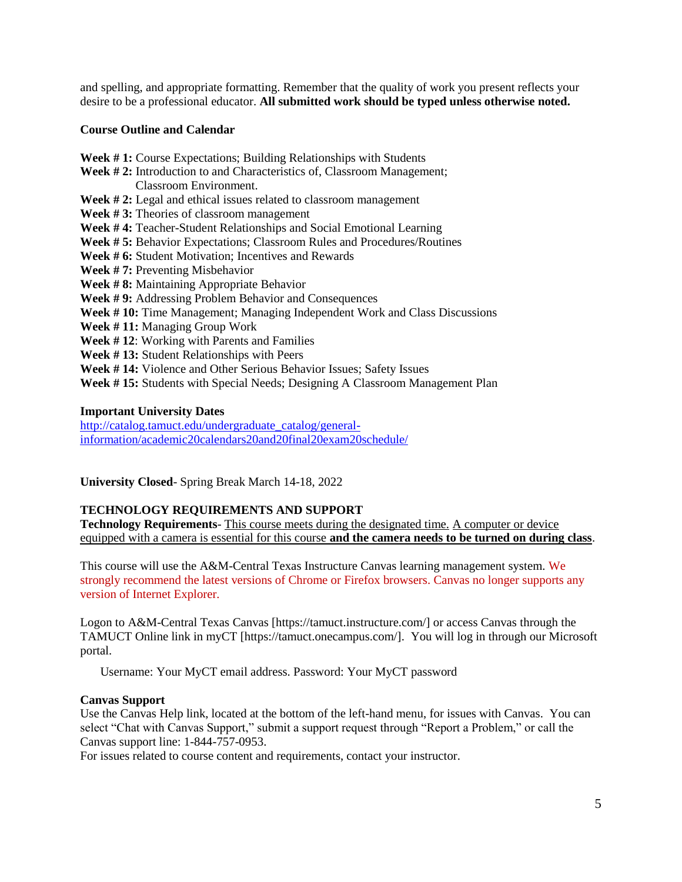and spelling, and appropriate formatting. Remember that the quality of work you present reflects your desire to be a professional educator. **All submitted work should be typed unless otherwise noted.**

# **Course Outline and Calendar**

- **Week # 1:** Course Expectations; Building Relationships with Students Week #2: Introduction to and Characteristics of, Classroom Management; Classroom Environment. **Week # 2:** Legal and ethical issues related to classroom management
- **Week # 3:** Theories of classroom management
- **Week # 4:** Teacher-Student Relationships and Social Emotional Learning
- **Week # 5:** Behavior Expectations; Classroom Rules and Procedures/Routines
- Week # 6: Student Motivation; Incentives and Rewards
- **Week # 7:** Preventing Misbehavior
- **Week # 8:** Maintaining Appropriate Behavior
- **Week # 9:** Addressing Problem Behavior and Consequences
- Week #10: Time Management; Managing Independent Work and Class Discussions
- **Week # 11:** Managing Group Work
- **Week # 12**: Working with Parents and Families
- **Week # 13:** Student Relationships with Peers
- **Week # 14:** Violence and Other Serious Behavior Issues; Safety Issues
- **Week # 15:** Students with Special Needs; Designing A Classroom Management Plan

#### **Important University Dates**

[http://catalog.tamuct.edu/undergraduate\\_catalog/general](http://catalog.tamuct.edu/undergraduate_catalog/general-information/academic20calendars20and20final20exam20schedule/)[information/academic20calendars20and20final20exam20schedule/](http://catalog.tamuct.edu/undergraduate_catalog/general-information/academic20calendars20and20final20exam20schedule/)

**University Closed**- Spring Break March 14-18, 2022

# **TECHNOLOGY REQUIREMENTS AND SUPPORT**

**Technology Requirements**- This course meets during the designated time. A computer or device equipped with a camera is essential for this course **and the camera needs to be turned on during class**.

This course will use the A&M-Central Texas Instructure Canvas learning management system. We strongly recommend the latest versions of Chrome or Firefox browsers. Canvas no longer supports any version of Internet Explorer.

Logon to A&M-Central Texas Canvas [https://tamuct.instructure.com/] or access Canvas through the TAMUCT Online link in myCT [https://tamuct.onecampus.com/]. You will log in through our Microsoft portal.

Username: Your MyCT email address. Password: Your MyCT password

#### **Canvas Support**

Use the Canvas Help link, located at the bottom of the left-hand menu, for issues with Canvas. You can select "Chat with Canvas Support," submit a support request through "Report a Problem," or call the Canvas support line: 1-844-757-0953.

For issues related to course content and requirements, contact your instructor.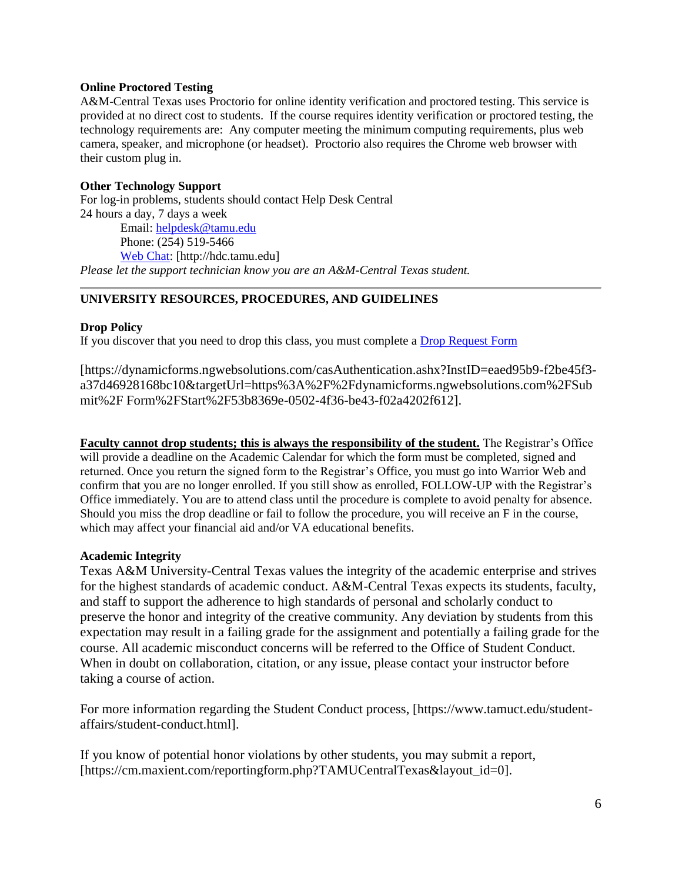# **Online Proctored Testing**

A&M-Central Texas uses Proctorio for online identity verification and proctored testing. This service is provided at no direct cost to students. If the course requires identity verification or proctored testing, the technology requirements are: Any computer meeting the minimum computing requirements, plus web camera, speaker, and microphone (or headset). Proctorio also requires the Chrome web browser with their custom plug in.

# **Other Technology Support**

For log-in problems, students should contact Help Desk Central 24 hours a day, 7 days a week Email: [helpdesk@tamu.edu](mailto:helpdesk@tamu.edu) Phone: (254) 519-5466 [Web Chat:](http://hdc.tamu.edu/) [http://hdc.tamu.edu] *Please let the support technician know you are an A&M-Central Texas student.*

# **UNIVERSITY RESOURCES, PROCEDURES, AND GUIDELINES**

#### **Drop Policy**

If you discover that you need to drop this class, you must complete a [Drop Request Form](https://www.tamuct.edu/registrar/docs/Drop_Request_Form.pdf)

[https://dynamicforms.ngwebsolutions.com/casAuthentication.ashx?InstID=eaed95b9-f2be45f3 a37d46928168bc10&targetUrl=https%3A%2F%2Fdynamicforms.ngwebsolutions.com%2FSub mit%2F Form%2FStart%2F53b8369e-0502-4f36-be43-f02a4202f612].

**Faculty cannot drop students; this is always the responsibility of the student.** The Registrar's Office will provide a deadline on the Academic Calendar for which the form must be completed, signed and returned. Once you return the signed form to the Registrar's Office, you must go into Warrior Web and confirm that you are no longer enrolled. If you still show as enrolled, FOLLOW-UP with the Registrar's Office immediately. You are to attend class until the procedure is complete to avoid penalty for absence. Should you miss the drop deadline or fail to follow the procedure, you will receive an F in the course, which may affect your financial aid and/or VA educational benefits.

#### **Academic Integrity**

Texas A&M University-Central Texas values the integrity of the academic enterprise and strives for the highest standards of academic conduct. A&M-Central Texas expects its students, faculty, and staff to support the adherence to high standards of personal and scholarly conduct to preserve the honor and integrity of the creative community. Any deviation by students from this expectation may result in a failing grade for the assignment and potentially a failing grade for the course. All academic misconduct concerns will be referred to the Office of Student Conduct. When in doubt on collaboration, citation, or any issue, please contact your instructor before taking a course of action.

For more information regarding the Student Conduct process, [https://www.tamuct.edu/studentaffairs/student-conduct.html].

If you know of potential honor violations by other students, you may submit a report, [https://cm.maxient.com/reportingform.php?TAMUCentralTexas&layout\_id=0].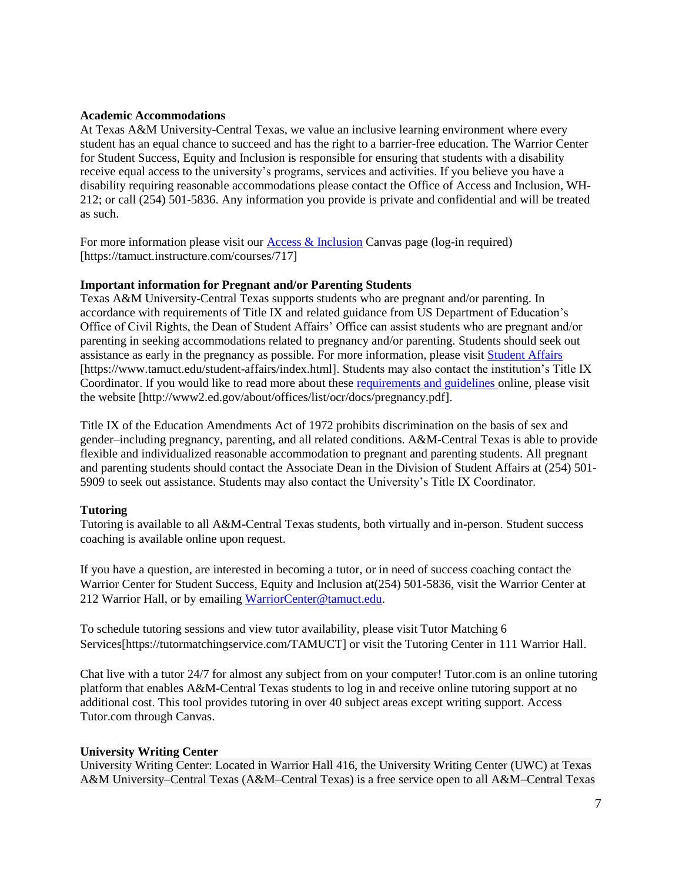#### **Academic Accommodations**

At Texas A&M University-Central Texas, we value an inclusive learning environment where every student has an equal chance to succeed and has the right to a barrier-free education. The Warrior Center for Student Success, Equity and Inclusion is responsible for ensuring that students with a disability receive equal access to the university's programs, services and activities. If you believe you have a disability requiring reasonable accommodations please contact the Office of Access and Inclusion, WH-212; or call (254) 501-5836. Any information you provide is private and confidential and will be treated as such.

For more information please visit our **Access & Inclusion** Canvas page (log-in required) [https://tamuct.instructure.com/courses/717]

# **Important information for Pregnant and/or Parenting Students**

Texas A&M University-Central Texas supports students who are pregnant and/or parenting. In accordance with requirements of Title IX and related guidance from US Department of Education's Office of Civil Rights, the Dean of Student Affairs' Office can assist students who are pregnant and/or parenting in seeking accommodations related to pregnancy and/or parenting. Students should seek out assistance as early in the pregnancy as possible. For more information, please visit [Student Affairs](https://www.tamuct.edu/student-affairs/index.html) [https://www.tamuct.edu/student-affairs/index.html]. Students may also contact the institution's Title IX Coordinator. If you would like to read more about these [requirements and guidelines](http://www2.ed.gov/about/offices/list/ocr/docs/pregnancy.pdf) online, please visit the website [http://www2.ed.gov/about/offices/list/ocr/docs/pregnancy.pdf].

Title IX of the Education Amendments Act of 1972 prohibits discrimination on the basis of sex and gender–including pregnancy, parenting, and all related conditions. A&M-Central Texas is able to provide flexible and individualized reasonable accommodation to pregnant and parenting students. All pregnant and parenting students should contact the Associate Dean in the Division of Student Affairs at (254) 501- 5909 to seek out assistance. Students may also contact the University's Title IX Coordinator.

#### **Tutoring**

Tutoring is available to all A&M-Central Texas students, both virtually and in-person. Student success coaching is available online upon request.

If you have a question, are interested in becoming a tutor, or in need of success coaching contact the Warrior Center for Student Success, Equity and Inclusion at(254) 501-5836, visit the Warrior Center at 212 Warrior Hall, or by emailing [WarriorCenter@tamuct.edu.](mailto:WarriorCenter@tamuct.edu)

To schedule tutoring sessions and view tutor availability, please visit Tutor Matching 6 Services[https://tutormatchingservice.com/TAMUCT] or visit the Tutoring Center in 111 Warrior Hall.

Chat live with a tutor 24/7 for almost any subject from on your computer! Tutor.com is an online tutoring platform that enables A&M-Central Texas students to log in and receive online tutoring support at no additional cost. This tool provides tutoring in over 40 subject areas except writing support. Access Tutor.com through Canvas.

#### **University Writing Center**

University Writing Center: Located in Warrior Hall 416, the University Writing Center (UWC) at Texas A&M University–Central Texas (A&M–Central Texas) is a free service open to all A&M–Central Texas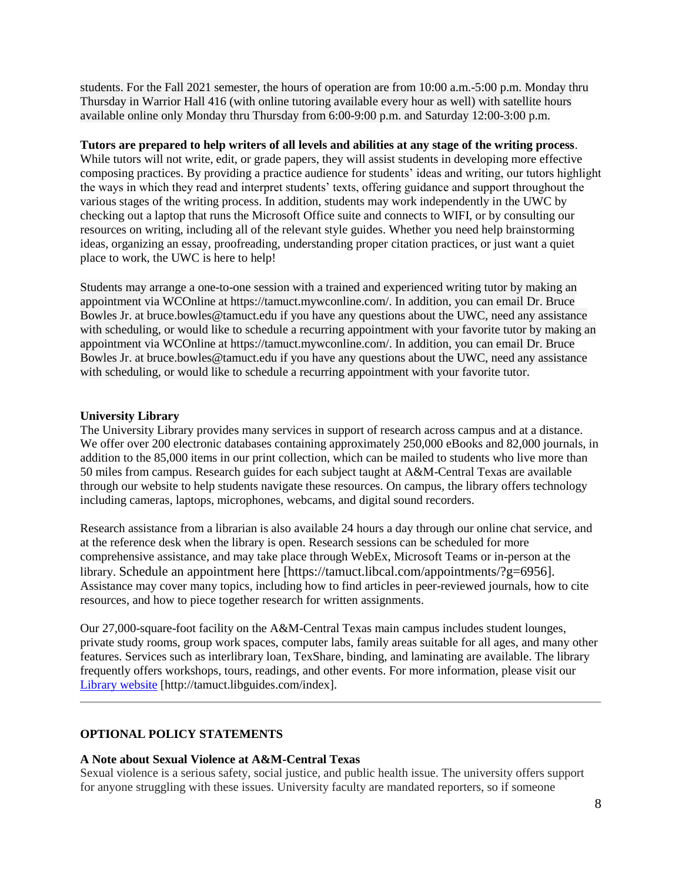students. For the Fall 2021 semester, the hours of operation are from 10:00 a.m.-5:00 p.m. Monday thru Thursday in Warrior Hall 416 (with online tutoring available every hour as well) with satellite hours available online only Monday thru Thursday from 6:00-9:00 p.m. and Saturday 12:00-3:00 p.m.

#### **Tutors are prepared to help writers of all levels and abilities at any stage of the writing process**.

While tutors will not write, edit, or grade papers, they will assist students in developing more effective composing practices. By providing a practice audience for students' ideas and writing, our tutors highlight the ways in which they read and interpret students' texts, offering guidance and support throughout the various stages of the writing process. In addition, students may work independently in the UWC by checking out a laptop that runs the Microsoft Office suite and connects to WIFI, or by consulting our resources on writing, including all of the relevant style guides. Whether you need help brainstorming ideas, organizing an essay, proofreading, understanding proper citation practices, or just want a quiet place to work, the UWC is here to help!

Students may arrange a one-to-one session with a trained and experienced writing tutor by making an appointment via WCOnline at https://tamuct.mywconline.com/. In addition, you can email Dr. Bruce Bowles Jr. at bruce.bowles@tamuct.edu if you have any questions about the UWC, need any assistance with scheduling, or would like to schedule a recurring appointment with your favorite tutor by making an appointment via WCOnline at https://tamuct.mywconline.com/. In addition, you can email Dr. Bruce Bowles Jr. at bruce.bowles@tamuct.edu if you have any questions about the UWC, need any assistance with scheduling, or would like to schedule a recurring appointment with your favorite tutor.

#### **University Library**

The University Library provides many services in support of research across campus and at a distance. We offer over 200 electronic databases containing approximately 250,000 eBooks and 82,000 journals, in addition to the 85,000 items in our print collection, which can be mailed to students who live more than 50 miles from campus. Research guides for each subject taught at A&M-Central Texas are available through our website to help students navigate these resources. On campus, the library offers technology including cameras, laptops, microphones, webcams, and digital sound recorders.

Research assistance from a librarian is also available 24 hours a day through our online chat service, and at the reference desk when the library is open. Research sessions can be scheduled for more comprehensive assistance, and may take place through WebEx, Microsoft Teams or in-person at the library. Schedule an appointment here [https://tamuct.libcal.com/appointments/?g=6956]. Assistance may cover many topics, including how to find articles in peer-reviewed journals, how to cite resources, and how to piece together research for written assignments.

Our 27,000-square-foot facility on the A&M-Central Texas main campus includes student lounges, private study rooms, group work spaces, computer labs, family areas suitable for all ages, and many other features. Services such as interlibrary loan, TexShare, binding, and laminating are available. The library frequently offers workshops, tours, readings, and other events. For more information, please visit our [Library website](https://tamuct.libguides.com/index) [http://tamuct.libguides.com/index].

# **OPTIONAL POLICY STATEMENTS**

#### **A Note about Sexual Violence at A&M-Central Texas**

Sexual violence is a serious safety, social justice, and public health issue. The university offers support for anyone struggling with these issues. University faculty are mandated reporters, so if someone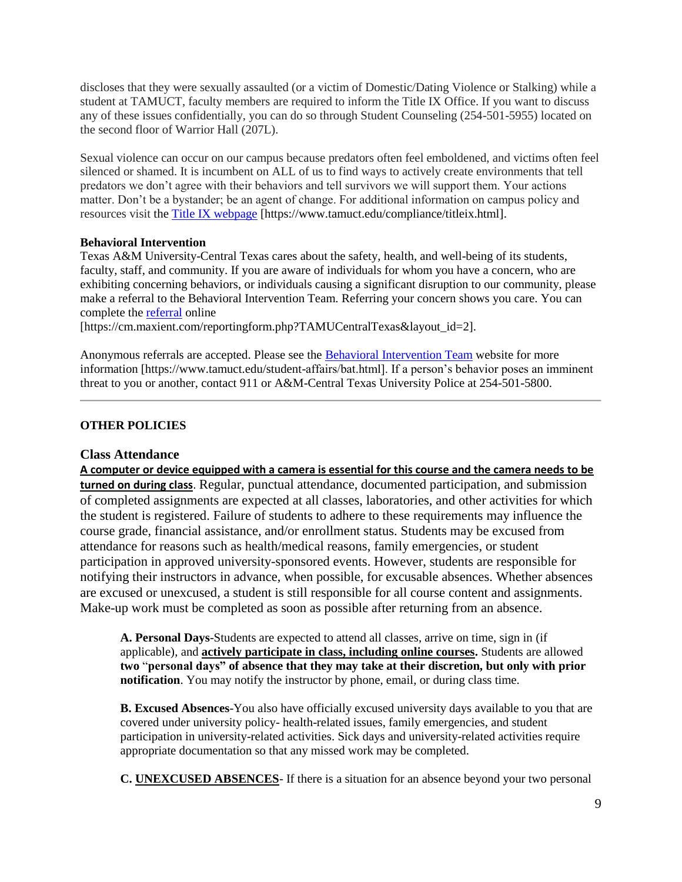discloses that they were sexually assaulted (or a victim of Domestic/Dating Violence or Stalking) while a student at TAMUCT, faculty members are required to inform the Title IX Office. If you want to discuss any of these issues confidentially, you can do so through Student Counseling (254-501-5955) located on the second floor of Warrior Hall (207L).

Sexual violence can occur on our campus because predators often feel emboldened, and victims often feel silenced or shamed. It is incumbent on ALL of us to find ways to actively create environments that tell predators we don't agree with their behaviors and tell survivors we will support them. Your actions matter. Don't be a bystander; be an agent of change. For additional information on campus policy and resources visit the [Title IX webpage](https://www.tamuct.edu/compliance/titleix.html) [\[https://www.tamuct.edu/compliance/titleix.html\]](https://www.tamuct.edu/compliance/titleix.html).

# **Behavioral Intervention**

Texas A&M University-Central Texas cares about the safety, health, and well-being of its students, faculty, staff, and community. If you are aware of individuals for whom you have a concern, who are exhibiting concerning behaviors, or individuals causing a significant disruption to our community, please make a referral to the Behavioral Intervention Team. Referring your concern shows you care. You can complete the [referral](https://cm.maxient.com/reportingform.php?TAMUCentralTexas&layout_id=2) online

[https://cm.maxient.com/reportingform.php?TAMUCentralTexas&layout\_id=2].

Anonymous referrals are accepted. Please see the **Behavioral Intervention Team** website for more information [https://www.tamuct.edu/student-affairs/bat.html]. If a person's behavior poses an imminent threat to you or another, contact 911 or A&M-Central Texas University Police at 254-501-5800.

# **OTHER POLICIES**

# **Class Attendance**

**A computer or device equipped with a camera is essential for this course and the camera needs to be turned on during class**. Regular, punctual attendance, documented participation, and submission of completed assignments are expected at all classes, laboratories, and other activities for which the student is registered. Failure of students to adhere to these requirements may influence the course grade, financial assistance, and/or enrollment status. Students may be excused from attendance for reasons such as health/medical reasons, family emergencies, or student participation in approved university-sponsored events. However, students are responsible for notifying their instructors in advance, when possible, for excusable absences. Whether absences are excused or unexcused, a student is still responsible for all course content and assignments. Make-up work must be completed as soon as possible after returning from an absence.

**A. Personal Days**-Students are expected to attend all classes, arrive on time, sign in (if applicable), and **actively participate in class, including online courses.** Students are allowed **two** "**personal days" of absence that they may take at their discretion, but only with prior notification**. You may notify the instructor by phone, email, or during class time.

**B. Excused Absences**-You also have officially excused university days available to you that are covered under university policy- health-related issues, family emergencies, and student participation in university-related activities. Sick days and university-related activities require appropriate documentation so that any missed work may be completed.

**C. UNEXCUSED ABSENCES**- If there is a situation for an absence beyond your two personal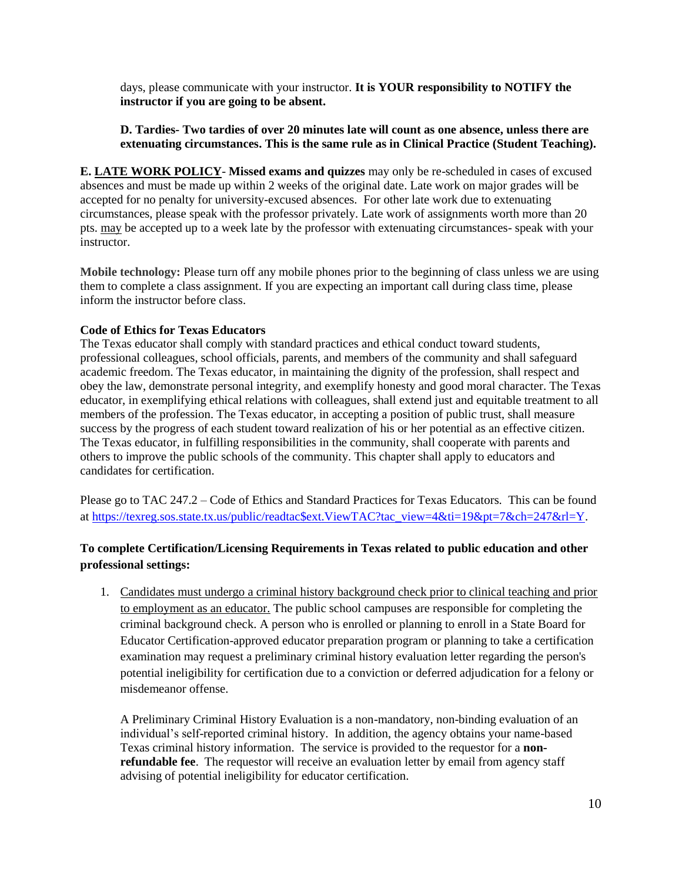days, please communicate with your instructor. **It is YOUR responsibility to NOTIFY the instructor if you are going to be absent.** 

# **D. Tardies- Two tardies of over 20 minutes late will count as one absence, unless there are extenuating circumstances. This is the same rule as in Clinical Practice (Student Teaching).**

**E. LATE WORK POLICY**- **Missed exams and quizzes** may only be re-scheduled in cases of excused absences and must be made up within 2 weeks of the original date. Late work on major grades will be accepted for no penalty for university-excused absences. For other late work due to extenuating circumstances, please speak with the professor privately. Late work of assignments worth more than 20 pts. may be accepted up to a week late by the professor with extenuating circumstances- speak with your instructor.

**Mobile technology:** Please turn off any mobile phones prior to the beginning of class unless we are using them to complete a class assignment. If you are expecting an important call during class time, please inform the instructor before class.

# **Code of Ethics for Texas Educators**

The Texas educator shall comply with standard practices and ethical conduct toward students, professional colleagues, school officials, parents, and members of the community and shall safeguard academic freedom. The Texas educator, in maintaining the dignity of the profession, shall respect and obey the law, demonstrate personal integrity, and exemplify honesty and good moral character. The Texas educator, in exemplifying ethical relations with colleagues, shall extend just and equitable treatment to all members of the profession. The Texas educator, in accepting a position of public trust, shall measure success by the progress of each student toward realization of his or her potential as an effective citizen. The Texas educator, in fulfilling responsibilities in the community, shall cooperate with parents and others to improve the public schools of the community. This chapter shall apply to educators and candidates for certification.

Please go to TAC 247.2 – Code of Ethics and Standard Practices for Texas Educators. This can be found at [https://texreg.sos.state.tx.us/public/readtac\\$ext.ViewTAC?tac\\_view=4&ti=19&pt=7&ch=247&rl=Y.](https://texreg.sos.state.tx.us/public/readtac$ext.ViewTAC?tac_view=4&ti=19&pt=7&ch=247&rl=Y)

# **To complete Certification/Licensing Requirements in Texas related to public education and other professional settings:**

1. Candidates must undergo a criminal history background check prior to clinical teaching and prior to employment as an educator. The public school campuses are responsible for completing the criminal background check. A person who is enrolled or planning to enroll in a State Board for Educator Certification-approved educator preparation program or planning to take a certification examination may request a preliminary criminal history evaluation letter regarding the person's potential ineligibility for certification due to a conviction or deferred adjudication for a felony or misdemeanor offense.

A Preliminary Criminal History Evaluation is a non-mandatory, non-binding evaluation of an individual's self-reported criminal history. In addition, the agency obtains your name-based Texas criminal history information. The service is provided to the requestor for a **nonrefundable fee**. The requestor will receive an evaluation letter by email from agency staff advising of potential ineligibility for educator certification.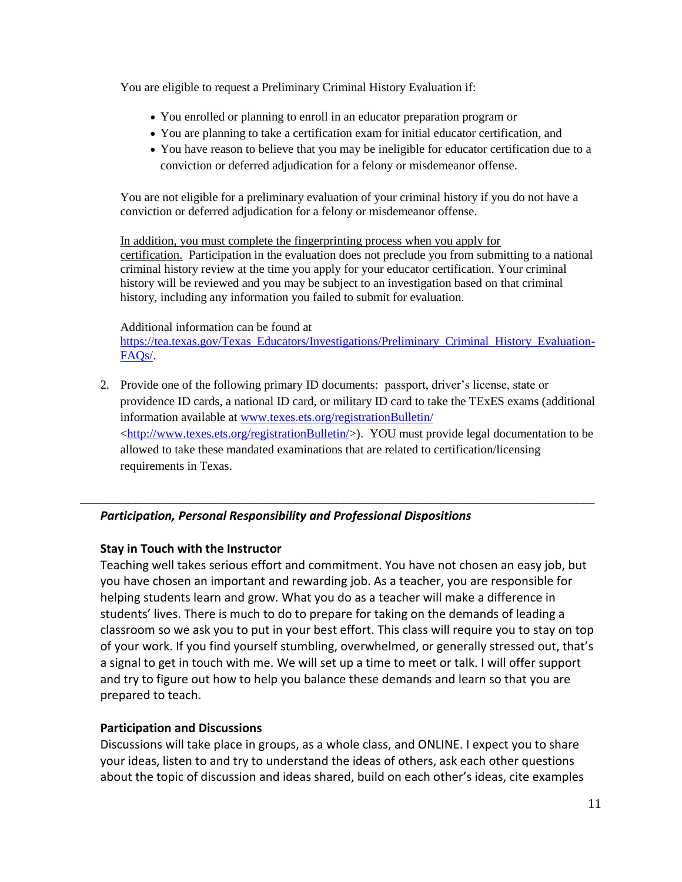You are eligible to request a Preliminary Criminal History Evaluation if:

- You enrolled or planning to enroll in an educator preparation program or
- You are planning to take a certification exam for initial educator certification, and
- You have reason to believe that you may be ineligible for educator certification due to a conviction or deferred adjudication for a felony or misdemeanor offense.

You are not eligible for a preliminary evaluation of your criminal history if you do not have a conviction or deferred adjudication for a felony or misdemeanor offense.

In addition, you must complete the fingerprinting process when you apply for certification. Participation in the evaluation does not preclude you from submitting to a national criminal history review at the time you apply for your educator certification. Your criminal history will be reviewed and you may be subject to an investigation based on that criminal history, including any information you failed to submit for evaluation.

Additional information can be found at

[https://tea.texas.gov/Texas\\_Educators/Investigations/Preliminary\\_Criminal\\_History\\_Evaluation-](https://tea.texas.gov/Texas_Educators/Investigations/Preliminary_Criminal_History_Evaluation-FAQs/)[FAQs/.](https://tea.texas.gov/Texas_Educators/Investigations/Preliminary_Criminal_History_Evaluation-FAQs/)

2. Provide one of the following primary ID documents: passport, driver's license, state or providence ID cards, a national ID card, or military ID card to take the TExES exams (additional information available at [www.texes.ets.org/registrationBulletin/](http://www.texes.ets.org/registrationBulletin/)   $\langle \frac{http://www.texes.ets.org/registerationBulletin/>). \quad \text{YOU must provide legal documentation to be}$ allowed to take these mandated examinations that are related to certification/licensing requirements in Texas.

\_\_\_\_\_\_\_\_\_\_\_\_\_\_\_\_\_\_\_\_\_\_\_\_\_\_\_\_\_\_\_\_\_\_\_\_\_\_\_\_\_\_\_\_\_\_\_\_\_\_\_\_\_\_\_\_\_\_\_\_\_\_\_\_\_\_\_\_\_\_\_\_\_\_\_\_\_\_\_\_\_\_\_\_

# *Participation, Personal Responsibility and Professional Dispositions*

# **Stay in Touch with the Instructor**

Teaching well takes serious effort and commitment. You have not chosen an easy job, but you have chosen an important and rewarding job. As a teacher, you are responsible for helping students learn and grow. What you do as a teacher will make a difference in students' lives. There is much to do to prepare for taking on the demands of leading a classroom so we ask you to put in your best effort. This class will require you to stay on top of your work. If you find yourself stumbling, overwhelmed, or generally stressed out, that's a signal to get in touch with me. We will set up a time to meet or talk. I will offer support and try to figure out how to help you balance these demands and learn so that you are prepared to teach.

# **Participation and Discussions**

Discussions will take place in groups, as a whole class, and ONLINE. I expect you to share your ideas, listen to and try to understand the ideas of others, ask each other questions about the topic of discussion and ideas shared, build on each other's ideas, cite examples